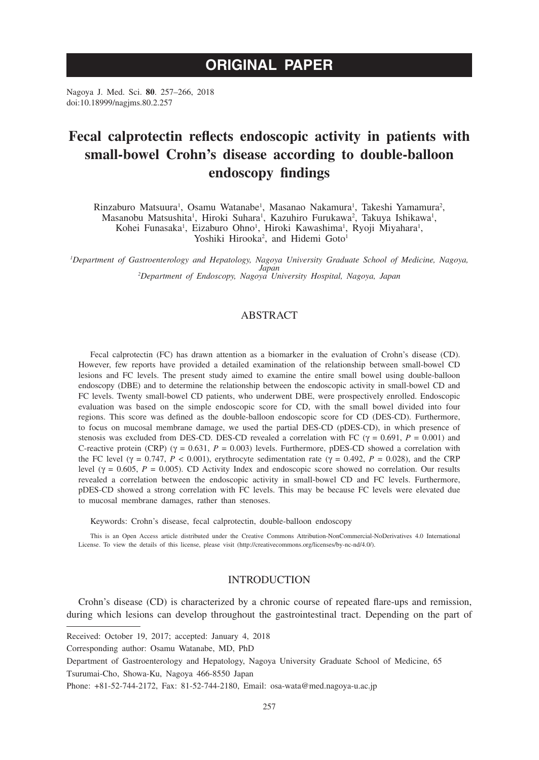# **ORIGINAL PAPER**

Nagoya J. Med. Sci. **80**. 257–266, 2018 doi:10.18999/nagjms.80.2.257

# **Fecal calprotectin reflects endoscopic activity in patients with small-bowel Crohn's disease according to double-balloon endoscopy findings**

Rinzaburo Matsuura<sup>1</sup>, Osamu Watanabe<sup>1</sup>, Masanao Nakamura<sup>1</sup>, Takeshi Yamamura<sup>2</sup>, Masanobu Matsushita<sup>1</sup>, Hiroki Suhara<sup>1</sup>, Kazuhiro Furukawa<sup>2</sup>, Takuya Ishikawa<sup>1</sup>,

Kohei Funasaka<sup>1</sup>, Eizaburo Ohno<sup>1</sup>, Hiroki Kawashima<sup>1</sup>, Ryoji Miyahara<sup>1</sup>,

Yoshiki Hirooka<sup>2</sup>, and Hidemi Goto<sup>1</sup>

*1 Department of Gastroenterology and Hepatology, Nagoya University Graduate School of Medicine, Nagoya, Japan <sup>2</sup> Department of Endoscopy, Nagoya University Hospital, Nagoya, Japan*

# ABSTRACT

Fecal calprotectin (FC) has drawn attention as a biomarker in the evaluation of Crohn's disease (CD). However, few reports have provided a detailed examination of the relationship between small-bowel CD lesions and FC levels. The present study aimed to examine the entire small bowel using double-balloon endoscopy (DBE) and to determine the relationship between the endoscopic activity in small-bowel CD and FC levels. Twenty small-bowel CD patients, who underwent DBE, were prospectively enrolled. Endoscopic evaluation was based on the simple endoscopic score for CD, with the small bowel divided into four regions. This score was defined as the double-balloon endoscopic score for CD (DES-CD). Furthermore, to focus on mucosal membrane damage, we used the partial DES-CD (pDES-CD), in which presence of stenosis was excluded from DES-CD. DES-CD revealed a correlation with FC ( $\gamma = 0.691$ ,  $P = 0.001$ ) and C-reactive protein (CRP) ( $\gamma = 0.631$ ,  $P = 0.003$ ) levels. Furthermore, pDES-CD showed a correlation with the FC level ( $\gamma = 0.747$ ,  $P < 0.001$ ), erythrocyte sedimentation rate ( $\gamma = 0.492$ ,  $P = 0.028$ ), and the CRP level ( $\gamma = 0.605$ ,  $P = 0.005$ ). CD Activity Index and endoscopic score showed no correlation. Our results revealed a correlation between the endoscopic activity in small-bowel CD and FC levels. Furthermore, pDES-CD showed a strong correlation with FC levels. This may be because FC levels were elevated due to mucosal membrane damages, rather than stenoses.

Keywords: Crohn's disease, fecal calprotectin, double-balloon endoscopy

This is an Open Access article distributed under the Creative Commons Attribution-NonCommercial-NoDerivatives 4.0 International License. To view the details of this license, please visit (http://creativecommons.org/licenses/by-nc-nd/4.0/).

## INTRODUCTION

Crohn's disease (CD) is characterized by a chronic course of repeated flare-ups and remission, during which lesions can develop throughout the gastrointestinal tract. Depending on the part of

Received: October 19, 2017; accepted: January 4, 2018

Corresponding author: Osamu Watanabe, MD, PhD

Department of Gastroenterology and Hepatology, Nagoya University Graduate School of Medicine, 65 Tsurumai-Cho, Showa-Ku, Nagoya 466-8550 Japan

Phone: +81-52-744-2172, Fax: 81-52-744-2180, Email: osa-wata@med.nagoya-u.ac.jp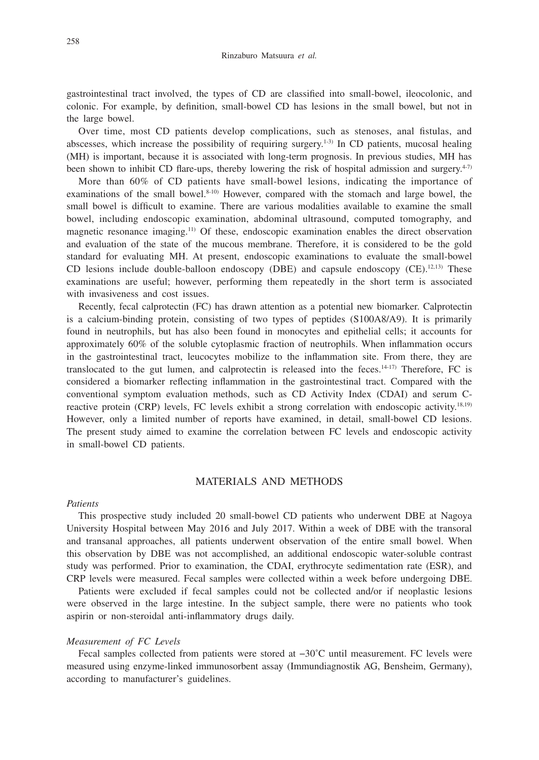gastrointestinal tract involved, the types of CD are classified into small-bowel, ileocolonic, and colonic. For example, by definition, small-bowel CD has lesions in the small bowel, but not in the large bowel.

Over time, most CD patients develop complications, such as stenoses, anal fistulas, and abscesses, which increase the possibility of requiring surgery.<sup>1-3)</sup> In CD patients, mucosal healing (MH) is important, because it is associated with long-term prognosis. In previous studies, MH has been shown to inhibit CD flare-ups, thereby lowering the risk of hospital admission and surgery.<sup>4-7)</sup>

More than 60% of CD patients have small-bowel lesions, indicating the importance of examinations of the small bowel.<sup>8-10)</sup> However, compared with the stomach and large bowel, the small bowel is difficult to examine. There are various modalities available to examine the small bowel, including endoscopic examination, abdominal ultrasound, computed tomography, and magnetic resonance imaging.<sup>11)</sup> Of these, endoscopic examination enables the direct observation and evaluation of the state of the mucous membrane. Therefore, it is considered to be the gold standard for evaluating MH. At present, endoscopic examinations to evaluate the small-bowel CD lesions include double-balloon endoscopy (DBE) and capsule endoscopy  $(CE)$ .<sup>12,13)</sup> These examinations are useful; however, performing them repeatedly in the short term is associated with invasiveness and cost issues.

Recently, fecal calprotectin (FC) has drawn attention as a potential new biomarker. Calprotectin is a calcium-binding protein, consisting of two types of peptides (S100A8/A9). It is primarily found in neutrophils, but has also been found in monocytes and epithelial cells; it accounts for approximately 60% of the soluble cytoplasmic fraction of neutrophils. When inflammation occurs in the gastrointestinal tract, leucocytes mobilize to the inflammation site. From there, they are translocated to the gut lumen, and calprotectin is released into the feces.14-17) Therefore, FC is considered a biomarker reflecting inflammation in the gastrointestinal tract. Compared with the conventional symptom evaluation methods, such as CD Activity Index (CDAI) and serum Creactive protein (CRP) levels, FC levels exhibit a strong correlation with endoscopic activity.<sup>18,19)</sup> However, only a limited number of reports have examined, in detail, small-bowel CD lesions. The present study aimed to examine the correlation between FC levels and endoscopic activity in small-bowel CD patients.

# MATERIALS AND METHODS

#### *Patients*

This prospective study included 20 small-bowel CD patients who underwent DBE at Nagoya University Hospital between May 2016 and July 2017. Within a week of DBE with the transoral and transanal approaches, all patients underwent observation of the entire small bowel. When this observation by DBE was not accomplished, an additional endoscopic water-soluble contrast study was performed. Prior to examination, the CDAI, erythrocyte sedimentation rate (ESR), and CRP levels were measured. Fecal samples were collected within a week before undergoing DBE.

Patients were excluded if fecal samples could not be collected and/or if neoplastic lesions were observed in the large intestine. In the subject sample, there were no patients who took aspirin or non-steroidal anti-inflammatory drugs daily.

## *Measurement of FC Levels*

Fecal samples collected from patients were stored at −30˚C until measurement. FC levels were measured using enzyme-linked immunosorbent assay (Immundiagnostik AG, Bensheim, Germany), according to manufacturer's guidelines.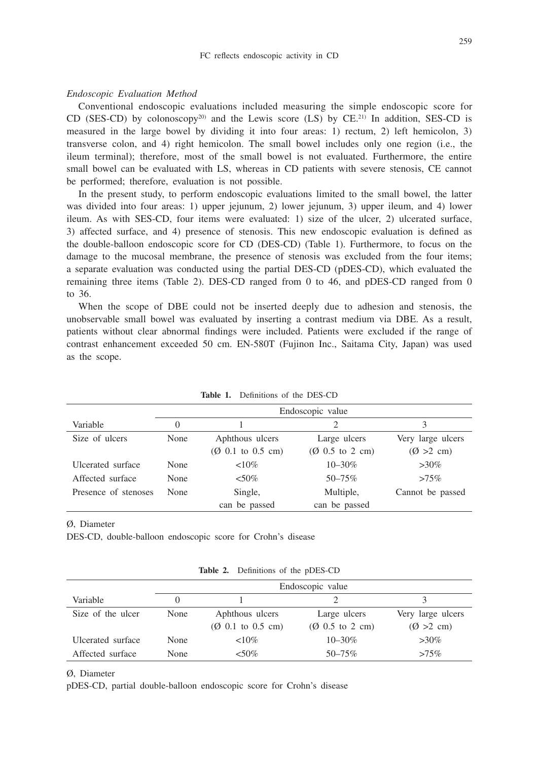## *Endoscopic Evaluation Method*

Conventional endoscopic evaluations included measuring the simple endoscopic score for CD (SES-CD) by colonoscopy<sup>20)</sup> and the Lewis score (LS) by  $CE$ <sup>21)</sup> In addition, SES-CD is measured in the large bowel by dividing it into four areas: 1) rectum, 2) left hemicolon, 3) transverse colon, and 4) right hemicolon. The small bowel includes only one region (i.e., the ileum terminal); therefore, most of the small bowel is not evaluated. Furthermore, the entire small bowel can be evaluated with LS, whereas in CD patients with severe stenosis, CE cannot be performed; therefore, evaluation is not possible.

In the present study, to perform endoscopic evaluations limited to the small bowel, the latter was divided into four areas: 1) upper jejunum, 2) lower jejunum, 3) upper ileum, and 4) lower ileum. As with SES-CD, four items were evaluated: 1) size of the ulcer, 2) ulcerated surface, 3) affected surface, and 4) presence of stenosis. This new endoscopic evaluation is defined as the double-balloon endoscopic score for CD (DES-CD) (Table 1). Furthermore, to focus on the damage to the mucosal membrane, the presence of stenosis was excluded from the four items; a separate evaluation was conducted using the partial DES-CD (pDES-CD), which evaluated the remaining three items (Table 2). DES-CD ranged from 0 to 46, and pDES-CD ranged from 0 to 36.

When the scope of DBE could not be inserted deeply due to adhesion and stenosis, the unobservable small bowel was evaluated by inserting a contrast medium via DBE. As a result, patients without clear abnormal findings were included. Patients were excluded if the range of contrast enhancement exceeded 50 cm. EN-580T (Fujinon Inc., Saitama City, Japan) was used as the scope.

|                      | Endoscopic value |                                                                   |                                                     |                                           |
|----------------------|------------------|-------------------------------------------------------------------|-----------------------------------------------------|-------------------------------------------|
| Variable             | $\mathbf{0}$     |                                                                   | ∍                                                   | 3                                         |
| Size of ulcers       | None             | Aphthous ulcers<br>$(\emptyset \ 0.1 \text{ to } 0.5 \text{ cm})$ | Large ulcers<br>$(Q\ 0.5\ \text{to}\ 2\ \text{cm})$ | Very large ulcers<br>$(\emptyset > 2$ cm) |
| Ulcerated surface    | None             | ${<}10\%$                                                         | $10 - 30\%$                                         | $>30\%$                                   |
|                      |                  |                                                                   |                                                     |                                           |
| Affected surface     | None             | $<50\%$                                                           | $50 - 75\%$                                         | $>75\%$                                   |
| Presence of stenoses | None             | Single,                                                           | Multiple,                                           | Cannot be passed                          |
|                      |                  | can be passed                                                     | can be passed                                       |                                           |

**Table 1.** Definitions of the DES-CD

Ø, Diameter

DES-CD, double-balloon endoscopic score for Crohn's disease

|                   | Endoscopic value |                                       |                                     |                      |
|-------------------|------------------|---------------------------------------|-------------------------------------|----------------------|
| Variable          | $\mathbf{0}$     |                                       |                                     |                      |
| Size of the ulcer | None             | Aphthous ulcers                       | Large ulcers                        | Very large ulcers    |
|                   |                  | $(Q\ 0.1\ \text{to}\ 0.5\ \text{cm})$ | $(Q\ 0.5\ \text{to}\ 2\ \text{cm})$ | $(\emptyset > 2$ cm) |
| Ulcerated surface | None             | ${<}10\%$                             | $10 - 30\%$                         | $>30\%$              |
| Affected surface  | None             | $< 50\%$                              | $50 - 75\%$                         | $>75\%$              |

**Table 2.** Definitions of the pDES-CD

Ø, Diameter

pDES-CD, partial double-balloon endoscopic score for Crohn's disease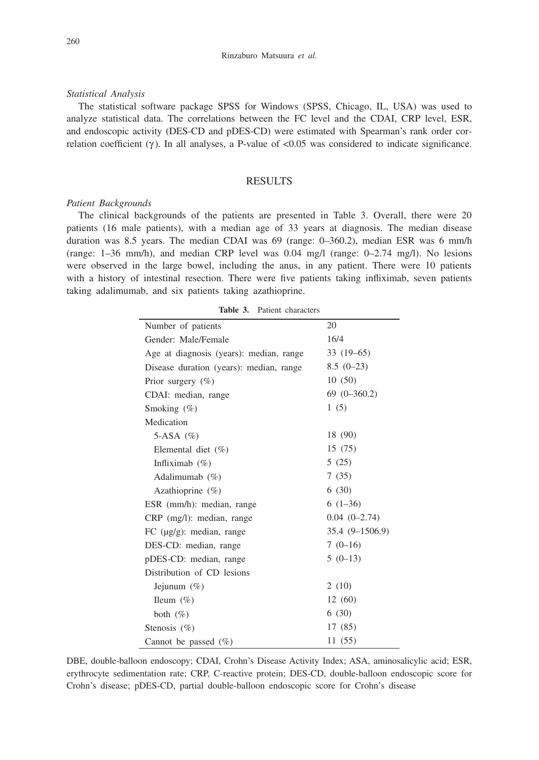## *Statistical Analysis*

The statistical software package SPSS for Windows (SPSS, Chicago, IL, USA) was used to analyze statistical data. The correlations between the FC level and the CDAI, CRP level, ESR, and endoscopic activity (DES-CD and pDES-CD) were estimated with Spearman's rank order correlation coefficient  $(\gamma)$ . In all analyses, a P-value of  $< 0.05$  was considered to indicate significance.

## RESULTS

### *Patient Backgrounds*

The clinical backgrounds of the patients are presented in Table 3. Overall, there were 20 patients (16 male patients), with a median age of 33 years at diagnosis. The median disease duration was 8.5 years. The median CDAI was 69 (range: 0–360.2), median ESR was 6 mm/h (range: 1–36 mm/h), and median CRP level was 0.04 mg/l (range: 0–2.74 mg/l). No lesions were observed in the large bowel, including the anus, in any patient. There were 10 patients with a history of intestinal resection. There were five patients taking infliximab, seven patients taking adalimumab, and six patients taking azathioprine.

| Number of patients                      | 20              |  |
|-----------------------------------------|-----------------|--|
| Gender: Male/Female                     | 16/4            |  |
| Age at diagnosis (years): median, range | $33(19-65)$     |  |
| Disease duration (years): median, range | $8.5(0-23)$     |  |
| Prior surgery $(\% )$                   | 10(50)          |  |
| CDAI: median, range                     | $69(0-360.2)$   |  |
| Smoking $(\%)$                          | 1(5)            |  |
| Medication                              |                 |  |
| 5-ASA $(\%)$                            | 18 (90)         |  |
| Elemental diet $(\%)$                   | 15(75)          |  |
| Infliximab $(\%)$                       | 5(25)           |  |
| Adalimumab $(\% )$                      | 7(35)           |  |
| Azathioprine $(\%)$                     | 6(30)           |  |
| ESR (mm/h): median, range               | $6(1-36)$       |  |
| CRP (mg/l): median, range               | $0.04(0-2.74)$  |  |
| FC $(\mu g/g)$ : median, range          | 35.4 (9-1506.9) |  |
| DES-CD: median, range                   | $7(0-16)$       |  |
| pDES-CD: median, range                  | $5(0-13)$       |  |
| Distribution of CD lesions              |                 |  |
| Jejunum $(\%)$                          | 2(10)           |  |
| Ileum $(\%)$                            | 12(60)          |  |
| both $(\%)$                             | 6(30)           |  |
| Stenosis $(\% )$                        | 17 (85)         |  |
| Cannot be passed $(\%)$                 | 11 (55)         |  |

**Table 3.** Patient characters

DBE, double-balloon endoscopy; CDAI, Crohn's Disease Activity Index; ASA, aminosalicylic acid; ESR, erythrocyte sedimentation rate; CRP, C-reactive protein; DES-CD, double-balloon endoscopic score for Crohn's disease; pDES-CD, partial double-balloon endoscopic score for Crohn's disease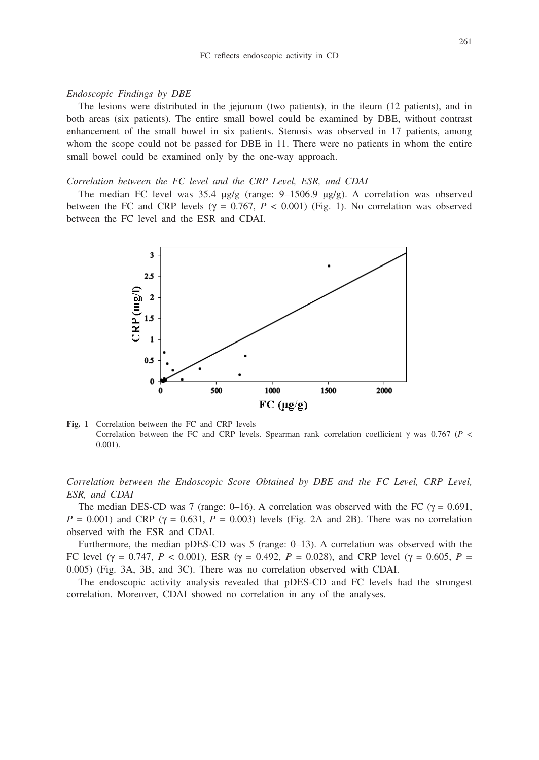### *Endoscopic Findings by DBE*

The lesions were distributed in the jejunum (two patients), in the ileum (12 patients), and in both areas (six patients). The entire small bowel could be examined by DBE, without contrast enhancement of the small bowel in six patients. Stenosis was observed in 17 patients, among whom the scope could not be passed for DBE in 11. There were no patients in whom the entire small bowel could be examined only by the one-way approach.

## *Correlation between the FC level and the CRP Level, ESR, and CDAI*

The median FC level was 35.4  $\mu$ g/g (range: 9–1506.9  $\mu$ g/g). A correlation was observed between the FC and CRP levels ( $\gamma = 0.767$ ,  $P < 0.001$ ) (Fig. 1). No correlation was observed between the FC level and the ESR and CDAI.



**Fig. 1** Correlation between the FC and CRP levels Correlation between the FC and CRP levels. Spearman rank correlation coefficient  $\gamma$  was 0.767 (*P* < 0.001).

*Correlation between the Endoscopic Score Obtained by DBE and the FC Level, CRP Level, ESR, and CDAI*

The median DES-CD was 7 (range: 0–16). A correlation was observed with the FC ( $\gamma = 0.691$ ,  $P = 0.001$  and CRP ( $\gamma = 0.631$ ,  $P = 0.003$ ) levels (Fig. 2A and 2B). There was no correlation observed with the ESR and CDAI.

Furthermore, the median pDES-CD was 5 (range: 0–13). A correlation was observed with the FC level ( $\gamma = 0.747$ ,  $P < 0.001$ ), ESR ( $\gamma = 0.492$ ,  $P = 0.028$ ), and CRP level ( $\gamma = 0.605$ ,  $P =$ 0.005) (Fig. 3A, 3B, and 3C). There was no correlation observed with CDAI.

The endoscopic activity analysis revealed that pDES-CD and FC levels had the strongest correlation. Moreover, CDAI showed no correlation in any of the analyses.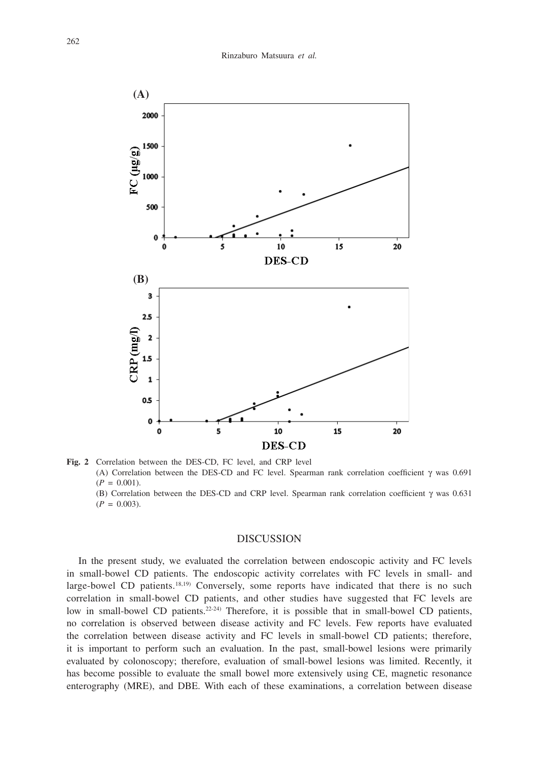

**Fig. 2** Correlation between the DES-CD, FC level, and CRP level (A) Correlation between the DES-CD and FC level. Spearman rank correlation coefficient  $\gamma$  was 0.691  $(P = 0.001)$ . (B) Correlation between the DES-CD and CRP level. Spearman rank correlation coefficient  $\gamma$  was 0.631  $(P = 0.003)$ .

## DISCUSSION

In the present study, we evaluated the correlation between endoscopic activity and FC levels in small-bowel CD patients. The endoscopic activity correlates with FC levels in small- and large-bowel CD patients.<sup>18,19)</sup> Conversely, some reports have indicated that there is no such correlation in small-bowel CD patients, and other studies have suggested that FC levels are low in small-bowel CD patients.<sup>22-24</sup>) Therefore, it is possible that in small-bowel CD patients, no correlation is observed between disease activity and FC levels. Few reports have evaluated the correlation between disease activity and FC levels in small-bowel CD patients; therefore, it is important to perform such an evaluation. In the past, small-bowel lesions were primarily evaluated by colonoscopy; therefore, evaluation of small-bowel lesions was limited. Recently, it has become possible to evaluate the small bowel more extensively using CE, magnetic resonance enterography (MRE), and DBE. With each of these examinations, a correlation between disease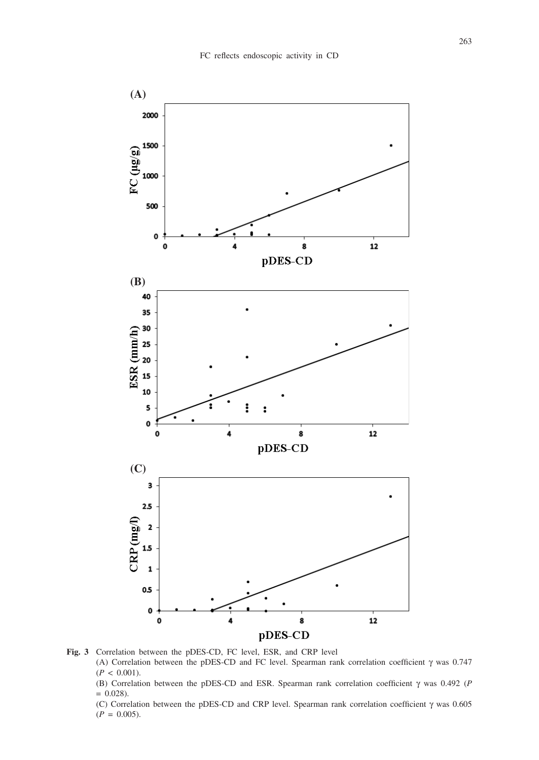

**Fig. 3** Correlation between the pDES-CD, FC level, ESR, and CRP level (A) Correlation between the pDES-CD and FC level. Spearman rank correlation coefficient  $\gamma$  was 0.747  $(P < 0.001)$ .

(B) Correlation between the pDES-CD and ESR. Spearman rank correlation coefficient  $\gamma$  was 0.492 (*P*  $= 0.028$ ).

(C) Correlation between the pDES-CD and CRP level. Spearman rank correlation coefficient  $\gamma$  was 0.605  $(P = 0.005)$ .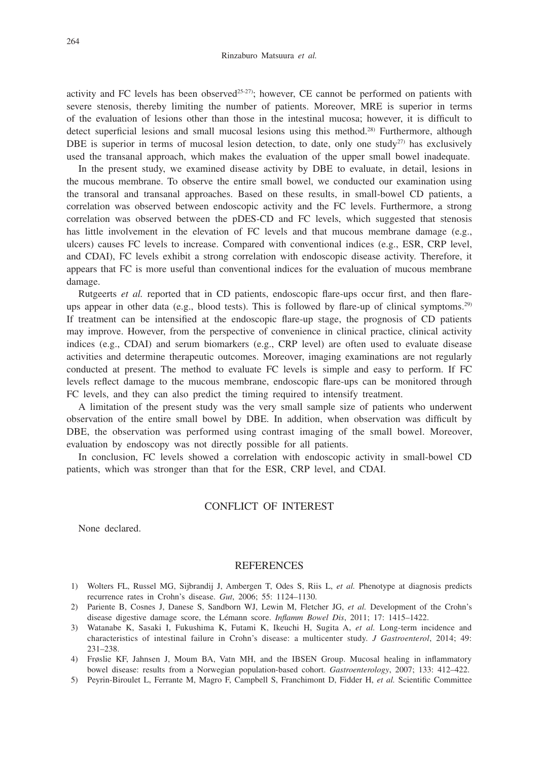activity and FC levels has been observed<sup>25-27</sup>); however, CE cannot be performed on patients with severe stenosis, thereby limiting the number of patients. Moreover, MRE is superior in terms of the evaluation of lesions other than those in the intestinal mucosa; however, it is difficult to detect superficial lesions and small mucosal lesions using this method.<sup>28)</sup> Furthermore, although DBE is superior in terms of mucosal lesion detection, to date, only one study<sup>27)</sup> has exclusively used the transanal approach, which makes the evaluation of the upper small bowel inadequate.

In the present study, we examined disease activity by DBE to evaluate, in detail, lesions in the mucous membrane. To observe the entire small bowel, we conducted our examination using the transoral and transanal approaches. Based on these results, in small-bowel CD patients, a correlation was observed between endoscopic activity and the FC levels. Furthermore, a strong correlation was observed between the pDES-CD and FC levels, which suggested that stenosis has little involvement in the elevation of FC levels and that mucous membrane damage (e.g., ulcers) causes FC levels to increase. Compared with conventional indices (e.g., ESR, CRP level, and CDAI), FC levels exhibit a strong correlation with endoscopic disease activity. Therefore, it appears that FC is more useful than conventional indices for the evaluation of mucous membrane damage.

Rutgeerts *et al.* reported that in CD patients, endoscopic flare-ups occur first, and then flareups appear in other data (e.g., blood tests). This is followed by flare-up of clinical symptoms.<sup>29)</sup> If treatment can be intensified at the endoscopic flare-up stage, the prognosis of CD patients may improve. However, from the perspective of convenience in clinical practice, clinical activity indices (e.g., CDAI) and serum biomarkers (e.g., CRP level) are often used to evaluate disease activities and determine therapeutic outcomes. Moreover, imaging examinations are not regularly conducted at present. The method to evaluate FC levels is simple and easy to perform. If FC levels reflect damage to the mucous membrane, endoscopic flare-ups can be monitored through FC levels, and they can also predict the timing required to intensify treatment.

A limitation of the present study was the very small sample size of patients who underwent observation of the entire small bowel by DBE. In addition, when observation was difficult by DBE, the observation was performed using contrast imaging of the small bowel. Moreover, evaluation by endoscopy was not directly possible for all patients.

In conclusion, FC levels showed a correlation with endoscopic activity in small-bowel CD patients, which was stronger than that for the ESR, CRP level, and CDAI.

## CONFLICT OF INTEREST

None declared.

#### **REFERENCES**

- 1) Wolters FL, Russel MG, Sijbrandij J, Ambergen T, Odes S, Riis L, *et al.* Phenotype at diagnosis predicts recurrence rates in Crohn's disease. *Gut*, 2006; 55: 1124–1130.
- 2) Pariente B, Cosnes J, Danese S, Sandborn WJ, Lewin M, Fletcher JG, *et al.* Development of the Crohn's disease digestive damage score, the Lémann score. *Inflamm Bowel Dis*, 2011; 17: 1415–1422.
- 3) Watanabe K, Sasaki I, Fukushima K, Futami K, Ikeuchi H, Sugita A, *et al.* Long-term incidence and characteristics of intestinal failure in Crohn's disease: a multicenter study. *J Gastroenterol*, 2014; 49: 231–238.
- 4) Frøslie KF, Jahnsen J, Moum BA, Vatn MH, and the IBSEN Group. Mucosal healing in inflammatory bowel disease: results from a Norwegian population-based cohort. *Gastroenterology*, 2007; 133: 412–422.
- 5) Peyrin-Biroulet L, Ferrante M, Magro F, Campbell S, Franchimont D, Fidder H, *et al.* Scientific Committee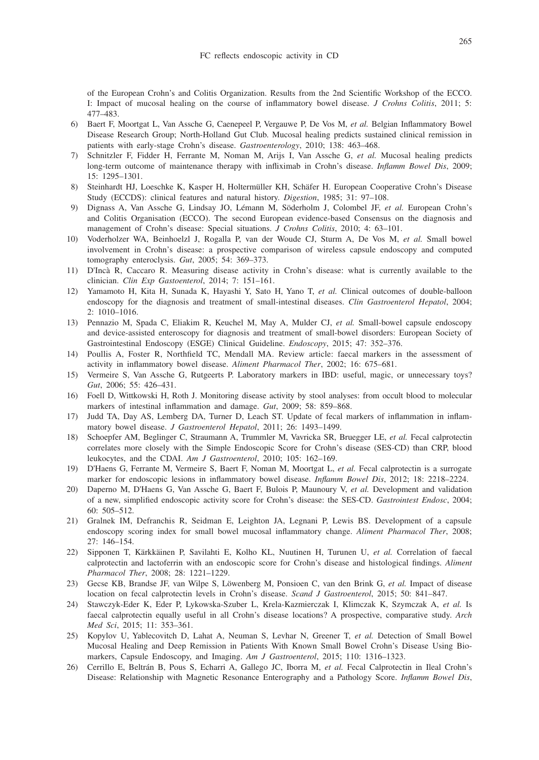of the European Crohn's and Colitis Organization. Results from the 2nd Scientific Workshop of the ECCO. I: Impact of mucosal healing on the course of inflammatory bowel disease. *J Crohns Colitis*, 2011; 5: 477–483.

- 6) Baert F, Moortgat L, Van Assche G, Caenepeel P, Vergauwe P, De Vos M, *et al.* Belgian Inflammatory Bowel Disease Research Group; North-Holland Gut Club. Mucosal healing predicts sustained clinical remission in patients with early-stage Crohn's disease. *Gastroenterology*, 2010; 138: 463–468.
- 7) Schnitzler F, Fidder H, Ferrante M, Noman M, Arijs I, Van Assche G, *et al.* Mucosal healing predicts long-term outcome of maintenance therapy with infliximab in Crohn's disease. *Inflamm Bowel Dis*, 2009; 15: 1295–1301.
- 8) Steinhardt HJ, Loeschke K, Kasper H, Holtermüller KH, Schäfer H. European Cooperative Crohn's Disease Study (ECCDS): clinical features and natural history. *Digestion*, 1985; 31: 97–108.
- 9) Dignass A, Van Assche G, Lindsay JO, Lémann M, Söderholm J, Colombel JF, *et al.* European Crohn's and Colitis Organisation (ECCO). The second European evidence-based Consensus on the diagnosis and management of Crohn's disease: Special situations. *J Crohns Colitis*, 2010; 4: 63–101.
- 10) Voderholzer WA, Beinhoelzl J, Rogalla P, van der Woude CJ, Sturm A, De Vos M, *et al.* Small bowel involvement in Crohn's disease: a prospective comparison of wireless capsule endoscopy and computed tomography enteroclysis. *Gut*, 2005; 54: 369–373.
- 11) D'Incà R, Caccaro R. Measuring disease activity in Crohn's disease: what is currently available to the clinician. *Clin Exp Gastoenterol*, 2014; 7: 151–161.
- 12) Yamamoto H, Kita H, Sunada K, Hayashi Y, Sato H, Yano T, *et al.* Clinical outcomes of double-balloon endoscopy for the diagnosis and treatment of small-intestinal diseases. *Clin Gastroenterol Hepatol*, 2004; 2: 1010–1016.
- 13) Pennazio M, Spada C, Eliakim R, Keuchel M, May A, Mulder CJ, *et al.* Small-bowel capsule endoscopy and device-assisted enteroscopy for diagnosis and treatment of small-bowel disorders: European Society of Gastrointestinal Endoscopy (ESGE) Clinical Guideline. *Endoscopy*, 2015; 47: 352–376.
- 14) Poullis A, Foster R, Northfield TC, Mendall MA. Review article: faecal markers in the assessment of activity in inflammatory bowel disease. *Aliment Pharmacol Ther*, 2002; 16: 675–681.
- 15) Vermeire S, Van Assche G, Rutgeerts P. Laboratory markers in IBD: useful, magic, or unnecessary toys? *Gut*, 2006; 55: 426–431.
- 16) Foell D, Wittkowski H, Roth J. Monitoring disease activity by stool analyses: from occult blood to molecular markers of intestinal inflammation and damage. *Gut*, 2009; 58: 859–868.
- 17) Judd TA, Day AS, Lemberg DA, Turner D, Leach ST. Update of fecal markers of inflammation in inflammatory bowel disease. *J Gastroenterol Hepatol*, 2011; 26: 1493–1499.
- 18) Schoepfer AM, Beglinger C, Straumann A, Trummler M, Vavricka SR, Bruegger LE, *et al.* Fecal calprotectin correlates more closely with the Simple Endoscopic Score for Crohn's disease (SES-CD) than CRP, blood leukocytes, and the CDAI. *Am J Gastroenterol*, 2010; 105: 162–169.
- 19) D'Haens G, Ferrante M, Vermeire S, Baert F, Noman M, Moortgat L, *et al.* Fecal calprotectin is a surrogate marker for endoscopic lesions in inflammatory bowel disease. *Inflamm Bowel Dis*, 2012; 18: 2218–2224.
- 20) Daperno M, D'Haens G, Van Assche G, Baert F, Bulois P, Maunoury V, *et al.* Development and validation of a new, simplified endoscopic activity score for Crohn's disease: the SES-CD. *Gastrointest Endosc*, 2004; 60: 505–512.
- 21) Gralnek IM, Defranchis R, Seidman E, Leighton JA, Legnani P, Lewis BS. Development of a capsule endoscopy scoring index for small bowel mucosal inflammatory change. *Aliment Pharmacol Ther*, 2008; 27: 146–154.
- 22) Sipponen T, Kärkkäinen P, Savilahti E, Kolho KL, Nuutinen H, Turunen U, *et al.* Correlation of faecal calprotectin and lactoferrin with an endoscopic score for Crohn's disease and histological findings. *Aliment Pharmacol Ther*, 2008; 28: 1221–1229.
- 23) Gecse KB, Brandse JF, van Wilpe S, Löwenberg M, Ponsioen C, van den Brink G, *et al.* Impact of disease location on fecal calprotectin levels in Crohn's disease. *Scand J Gastroenterol*, 2015; 50: 841–847.
- 24) Stawczyk-Eder K, Eder P, Lykowska-Szuber L, Krela-Kazmierczak I, Klimczak K, Szymczak A, *et al.* Is faecal calprotectin equally useful in all Crohn's disease locations? A prospective, comparative study. *Arch Med Sci*, 2015; 11: 353–361.
- 25) Kopylov U, Yablecovitch D, Lahat A, Neuman S, Levhar N, Greener T, *et al.* Detection of Small Bowel Mucosal Healing and Deep Remission in Patients With Known Small Bowel Crohn's Disease Using Biomarkers, Capsule Endoscopy, and Imaging. *Am J Gastroenterol*, 2015; 110: 1316–1323.
- 26) Cerrillo E, Beltrán B, Pous S, Echarri A, Gallego JC, Iborra M, *et al.* Fecal Calprotectin in Ileal Crohn's Disease: Relationship with Magnetic Resonance Enterography and a Pathology Score. *Inflamm Bowel Dis*,